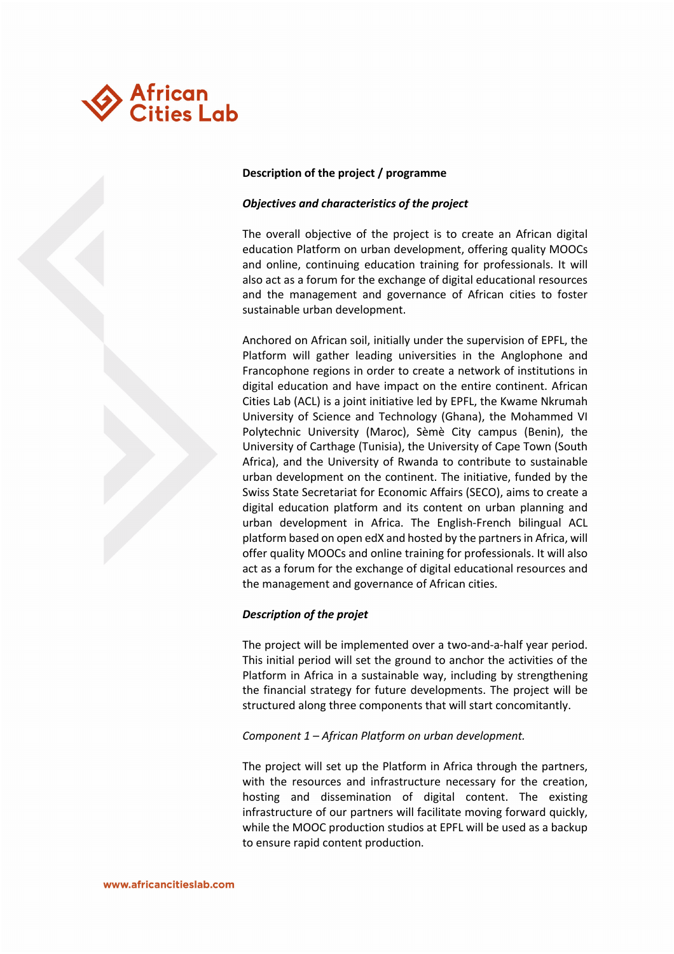

#### **Description of the project / programme**

### *Objectives and characteristics of the project*

The overall objective of the project is to create an African digital education Platform on urban development, offering quality MOOCs and online, continuing education training for professionals. It will also act as a forum for the exchange of digital educational resources and the management and governance of African cities to foster sustainable urban development.

Anchored on African soil, initially under the supervision of EPFL, the Platform will gather leading universities in the Anglophone and Francophone regions in order to create a network of institutions in digital education and have impact on the entire continent. African Cities Lab (ACL) is a joint initiative led by EPFL, the Kwame Nkrumah University of Science and Technology (Ghana), the Mohammed VI Polytechnic University (Maroc), Sèmè City campus (Benin), the University of Carthage (Tunisia), the University of Cape Town (South Africa), and the University of Rwanda to contribute to sustainable urban development on the continent. The initiative, funded by the Swiss State Secretariat for Economic Affairs (SECO), aims to create a digital education platform and its content on urban planning and urban development in Africa. The English-French bilingual ACL platform based on open edX and hosted by the partners in Africa, will offer quality MOOCs and online training for professionals. It will also act as a forum for the exchange of digital educational resources and the management and governance of African cities.

# *Description of the projet*

The project will be implemented over a two-and-a-half year period. This initial period will set the ground to anchor the activities of the Platform in Africa in a sustainable way, including by strengthening the financial strategy for future developments. The project will be structured along three components that will start concomitantly.

#### *Component 1 – African Platform on urban development.*

The project will set up the Platform in Africa through the partners, with the resources and infrastructure necessary for the creation, hosting and dissemination of digital content. The existing infrastructure of our partners will facilitate moving forward quickly, while the MOOC production studios at EPFL will be used as a backup to ensure rapid content production.